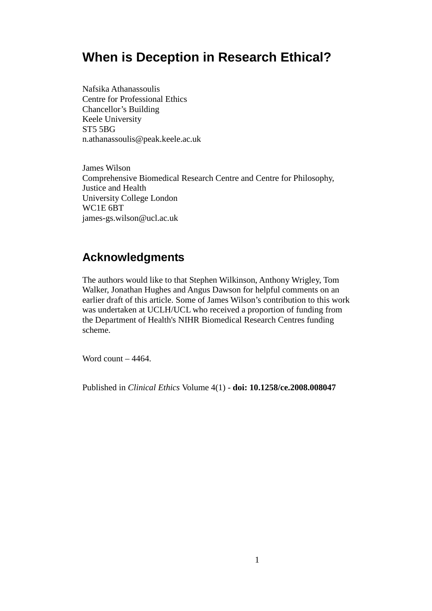### **When is Deception in Research Ethical?**

Nafsika Athanassoulis Centre for Professional Ethics Chancellor's Building Keele University ST5 5BG n.athanassoulis@peak.keele.ac.uk

James Wilson Comprehensive Biomedical Research Centre and Centre for Philosophy, Justice and Health University College London WC1E 6BT james-gs.wilson@ucl.ac.uk

### **Acknowledgments**

The authors would like to that Stephen Wilkinson, Anthony Wrigley, Tom Walker, Jonathan Hughes and Angus Dawson for helpful comments on an earlier draft of this article. Some of James Wilson's contribution to this work was undertaken at UCLH/UCL who received a proportion of funding from the Department of Health's NIHR Biomedical Research Centres funding scheme.

Word count  $-4464$ .

Published in *Clinical Ethics* Volume 4(1) - **doi: 10.1258/ce.2008.008047**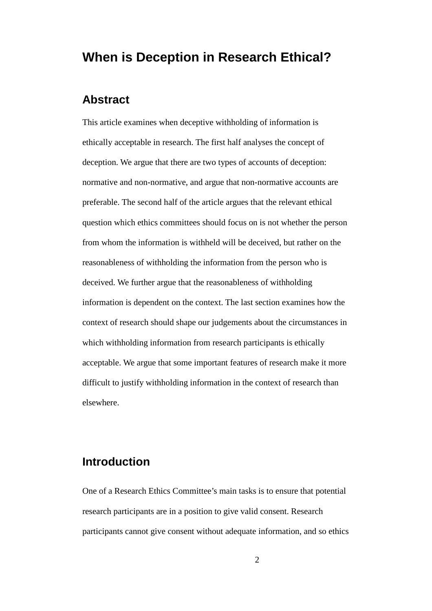#### **When is Deception in Research Ethical?**

#### **Abstract**

This article examines when deceptive withholding of information is ethically acceptable in research. The first half analyses the concept of deception. We argue that there are two types of accounts of deception: normative and non-normative, and argue that non-normative accounts are preferable. The second half of the article argues that the relevant ethical question which ethics committees should focus on is not whether the person from whom the information is withheld will be deceived, but rather on the reasonableness of withholding the information from the person who is deceived. We further argue that the reasonableness of withholding information is dependent on the context. The last section examines how the context of research should shape our judgements about the circumstances in which withholding information from research participants is ethically acceptable. We argue that some important features of research make it more difficult to justify withholding information in the context of research than elsewhere.

#### **Introduction**

One of a Research Ethics Committee's main tasks is to ensure that potential research participants are in a position to give valid consent. Research participants cannot give consent without adequate information, and so ethics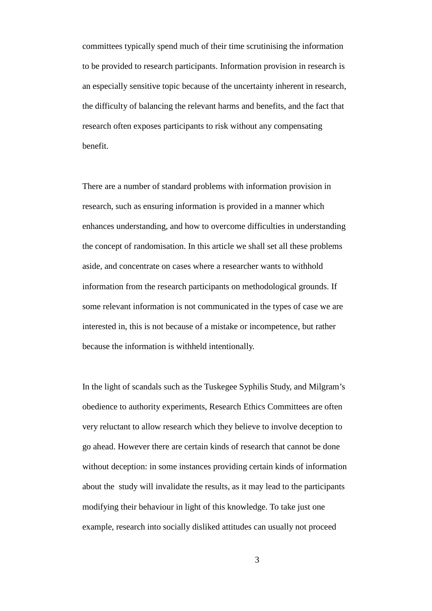committees typically spend much of their time scrutinising the information to be provided to research participants. Information provision in research is an especially sensitive topic because of the uncertainty inherent in research, the difficulty of balancing the relevant harms and benefits, and the fact that research often exposes participants to risk without any compensating benefit.

There are a number of standard problems with information provision in research, such as ensuring information is provided in a manner which enhances understanding, and how to overcome difficulties in understanding the concept of randomisation. In this article we shall set all these problems aside, and concentrate on cases where a researcher wants to withhold information from the research participants on methodological grounds. If some relevant information is not communicated in the types of case we are interested in, this is not because of a mistake or incompetence, but rather because the information is withheld intentionally.

In the light of scandals such as the Tuskegee Syphilis Study, and Milgram's obedience to authority experiments, Research Ethics Committees are often very reluctant to allow research which they believe to involve deception to go ahead. However there are certain kinds of research that cannot be done without deception: in some instances providing certain kinds of information about the study will invalidate the results, as it may lead to the participants modifying their behaviour in light of this knowledge. To take just one example, research into socially disliked attitudes can usually not proceed

3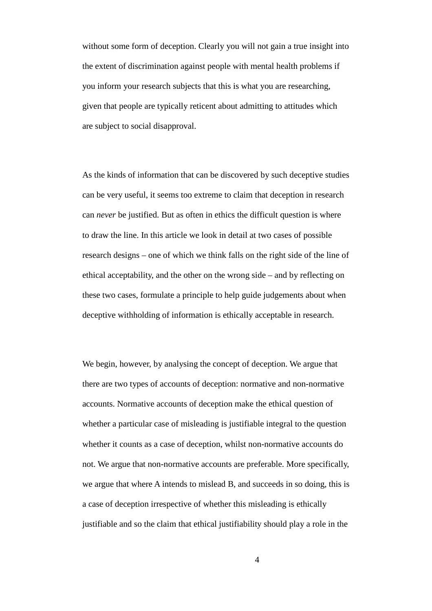without some form of deception. Clearly you will not gain a true insight into the extent of discrimination against people with mental health problems if you inform your research subjects that this is what you are researching, given that people are typically reticent about admitting to attitudes which are subject to social disapproval.

As the kinds of information that can be discovered by such deceptive studies can be very useful, it seems too extreme to claim that deception in research can *never* be justified. But as often in ethics the difficult question is where to draw the line. In this article we look in detail at two cases of possible research designs – one of which we think falls on the right side of the line of ethical acceptability, and the other on the wrong side – and by reflecting on these two cases, formulate a principle to help guide judgements about when deceptive withholding of information is ethically acceptable in research.

We begin, however, by analysing the concept of deception. We argue that there are two types of accounts of deception: normative and non-normative accounts. Normative accounts of deception make the ethical question of whether a particular case of misleading is justifiable integral to the question whether it counts as a case of deception, whilst non-normative accounts do not. We argue that non-normative accounts are preferable. More specifically, we argue that where A intends to mislead B, and succeeds in so doing, this is a case of deception irrespective of whether this misleading is ethically justifiable and so the claim that ethical justifiability should play a role in the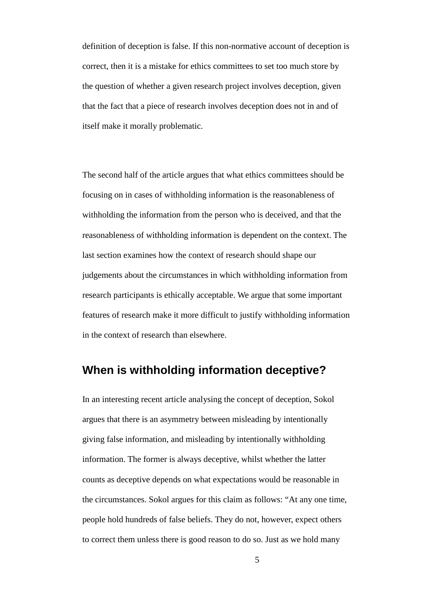definition of deception is false. If this non-normative account of deception is correct, then it is a mistake for ethics committees to set too much store by the question of whether a given research project involves deception, given that the fact that a piece of research involves deception does not in and of itself make it morally problematic.

The second half of the article argues that what ethics committees should be focusing on in cases of withholding information is the reasonableness of withholding the information from the person who is deceived, and that the reasonableness of withholding information is dependent on the context. The last section examines how the context of research should shape our judgements about the circumstances in which withholding information from research participants is ethically acceptable. We argue that some important features of research make it more difficult to justify withholding information in the context of research than elsewhere.

#### **When is withholding information deceptive?**

In an interesting recent article analysing the concept of deception, Sokol argues that there is an asymmetry between misleading by intentionally giving false information, and misleading by intentionally withholding information. The former is always deceptive, whilst whether the latter counts as deceptive depends on what expectations would be reasonable in the circumstances. Sokol argues for this claim as follows: "At any one time, people hold hundreds of false beliefs. They do not, however, expect others to correct them unless there is good reason to do so. Just as we hold many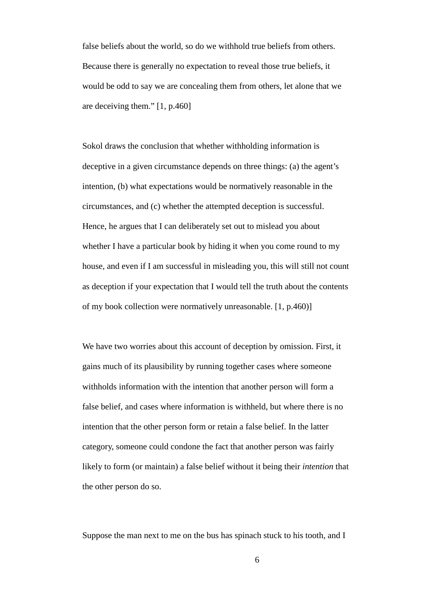false beliefs about the world, so do we withhold true beliefs from others. Because there is generally no expectation to reveal those true beliefs, it would be odd to say we are concealing them from others, let alone that we are deceiving them." [1, p.460]

Sokol draws the conclusion that whether withholding information is deceptive in a given circumstance depends on three things: (a) the agent's intention, (b) what expectations would be normatively reasonable in the circumstances, and (c) whether the attempted deception is successful. Hence, he argues that I can deliberately set out to mislead you about whether I have a particular book by hiding it when you come round to my house, and even if I am successful in misleading you, this will still not count as deception if your expectation that I would tell the truth about the contents of my book collection were normatively unreasonable. [1, p.460)]

We have two worries about this account of deception by omission. First, it gains much of its plausibility by running together cases where someone withholds information with the intention that another person will form a false belief, and cases where information is withheld, but where there is no intention that the other person form or retain a false belief. In the latter category, someone could condone the fact that another person was fairly likely to form (or maintain) a false belief without it being their *intention* that the other person do so.

Suppose the man next to me on the bus has spinach stuck to his tooth, and I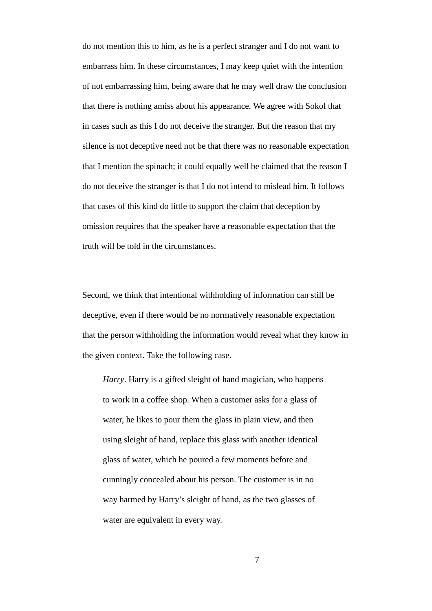do not mention this to him, as he is a perfect stranger and I do not want to embarrass him. In these circumstances, I may keep quiet with the intention of not embarrassing him, being aware that he may well draw the conclusion that there is nothing amiss about his appearance. We agree with Sokol that in cases such as this I do not deceive the stranger. But the reason that my silence is not deceptive need not be that there was no reasonable expectation that I mention the spinach; it could equally well be claimed that the reason I do not deceive the stranger is that I do not intend to mislead him. It follows that cases of this kind do little to support the claim that deception by omission requires that the speaker have a reasonable expectation that the truth will be told in the circumstances.

Second, we think that intentional withholding of information can still be deceptive, even if there would be no normatively reasonable expectation that the person withholding the information would reveal what they know in the given context. Take the following case.

*Harry*. Harry is a gifted sleight of hand magician, who happens to work in a coffee shop. When a customer asks for a glass of water, he likes to pour them the glass in plain view, and then using sleight of hand, replace this glass with another identical glass of water, which he poured a few moments before and cunningly concealed about his person. The customer is in no way harmed by Harry's sleight of hand, as the two glasses of water are equivalent in every way.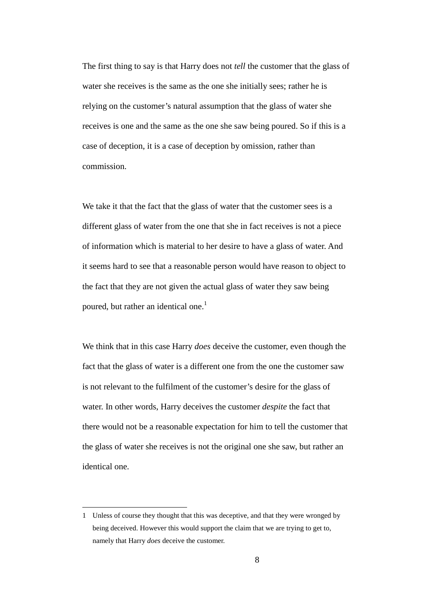The first thing to say is that Harry does not *tell* the customer that the glass of water she receives is the same as the one she initially sees; rather he is relying on the customer's natural assumption that the glass of water she receives is one and the same as the one she saw being poured. So if this is a case of deception, it is a case of deception by omission, rather than commission.

We take it that the fact that the glass of water that the customer sees is a different glass of water from the one that she in fact receives is not a piece of information which is material to her desire to have a glass of water. And it seems hard to see that a reasonable person would have reason to object to the fact that they are not given the actual glass of water they saw being poured, but rather an identical one.<sup>1</sup>

We think that in this case Harry *does* deceive the customer, even though the fact that the glass of water is a different one from the one the customer saw is not relevant to the fulfilment of the customer's desire for the glass of water. In other words, Harry deceives the customer *despite* the fact that there would not be a reasonable expectation for him to tell the customer that the glass of water she receives is not the original one she saw, but rather an identical one.

<sup>1</sup> Unless of course they thought that this was deceptive, and that they were wronged by being deceived. However this would support the claim that we are trying to get to, namely that Harry *does* deceive the customer.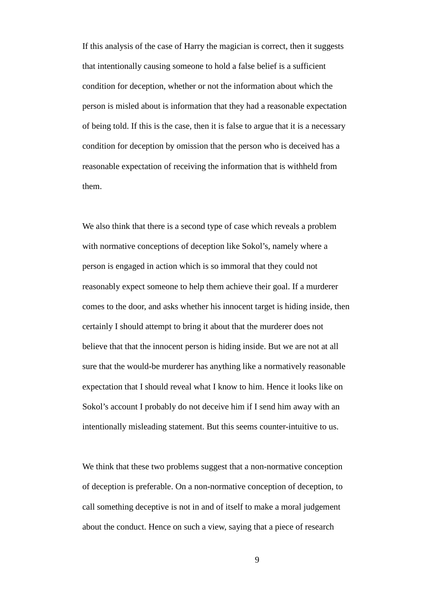If this analysis of the case of Harry the magician is correct, then it suggests that intentionally causing someone to hold a false belief is a sufficient condition for deception, whether or not the information about which the person is misled about is information that they had a reasonable expectation of being told. If this is the case, then it is false to argue that it is a necessary condition for deception by omission that the person who is deceived has a reasonable expectation of receiving the information that is withheld from them.

We also think that there is a second type of case which reveals a problem with normative conceptions of deception like Sokol's, namely where a person is engaged in action which is so immoral that they could not reasonably expect someone to help them achieve their goal. If a murderer comes to the door, and asks whether his innocent target is hiding inside, then certainly I should attempt to bring it about that the murderer does not believe that that the innocent person is hiding inside. But we are not at all sure that the would-be murderer has anything like a normatively reasonable expectation that I should reveal what I know to him. Hence it looks like on Sokol's account I probably do not deceive him if I send him away with an intentionally misleading statement. But this seems counter-intuitive to us.

We think that these two problems suggest that a non-normative conception of deception is preferable. On a non-normative conception of deception, to call something deceptive is not in and of itself to make a moral judgement about the conduct. Hence on such a view, saying that a piece of research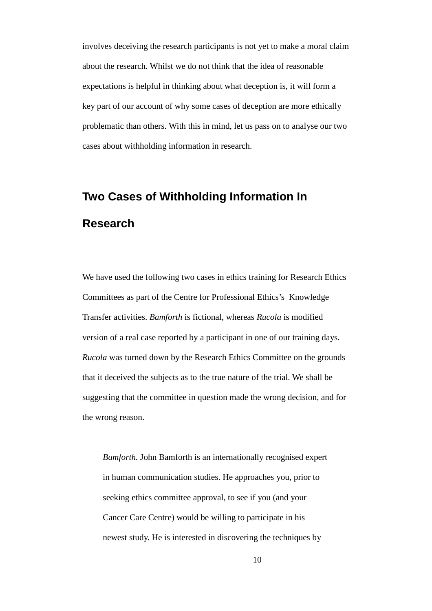involves deceiving the research participants is not yet to make a moral claim about the research. Whilst we do not think that the idea of reasonable expectations is helpful in thinking about what deception is, it will form a key part of our account of why some cases of deception are more ethically problematic than others. With this in mind, let us pass on to analyse our two cases about withholding information in research.

## **Two Cases of Withholding Information In Research**

We have used the following two cases in ethics training for Research Ethics Committees as part of the Centre for Professional Ethics's Knowledge Transfer activities. *Bamforth* is fictional, whereas *Rucola* is modified version of a real case reported by a participant in one of our training days. *Rucola* was turned down by the Research Ethics Committee on the grounds that it deceived the subjects as to the true nature of the trial. We shall be suggesting that the committee in question made the wrong decision, and for the wrong reason.

*Bamforth.* John Bamforth is an internationally recognised expert in human communication studies. He approaches you, prior to seeking ethics committee approval, to see if you (and your Cancer Care Centre) would be willing to participate in his newest study. He is interested in discovering the techniques by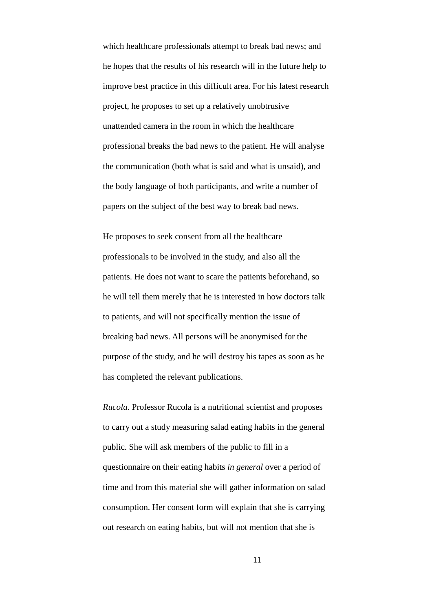which healthcare professionals attempt to break bad news; and he hopes that the results of his research will in the future help to improve best practice in this difficult area. For his latest research project, he proposes to set up a relatively unobtrusive unattended camera in the room in which the healthcare professional breaks the bad news to the patient. He will analyse the communication (both what is said and what is unsaid), and the body language of both participants, and write a number of papers on the subject of the best way to break bad news.

He proposes to seek consent from all the healthcare professionals to be involved in the study, and also all the patients. He does not want to scare the patients beforehand, so he will tell them merely that he is interested in how doctors talk to patients, and will not specifically mention the issue of breaking bad news. All persons will be anonymised for the purpose of the study, and he will destroy his tapes as soon as he has completed the relevant publications.

*Rucola.* Professor Rucola is a nutritional scientist and proposes to carry out a study measuring salad eating habits in the general public. She will ask members of the public to fill in a questionnaire on their eating habits *in general* over a period of time and from this material she will gather information on salad consumption. Her consent form will explain that she is carrying out research on eating habits, but will not mention that she is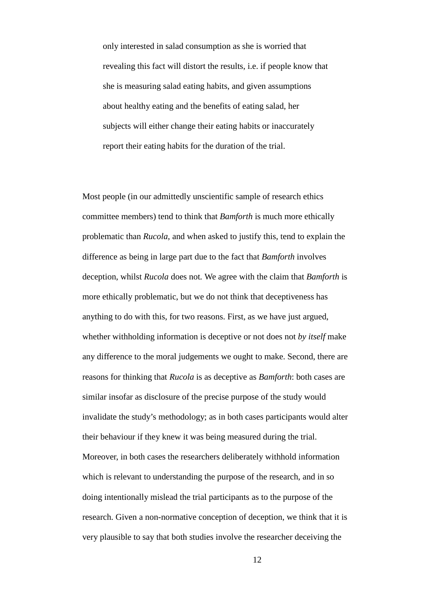only interested in salad consumption as she is worried that revealing this fact will distort the results, i.e. if people know that she is measuring salad eating habits, and given assumptions about healthy eating and the benefits of eating salad, her subjects will either change their eating habits or inaccurately report their eating habits for the duration of the trial.

Most people (in our admittedly unscientific sample of research ethics committee members) tend to think that *Bamforth* is much more ethically problematic than *Rucola*, and when asked to justify this, tend to explain the difference as being in large part due to the fact that *Bamforth* involves deception, whilst *Rucola* does not*.* We agree with the claim that *Bamforth* is more ethically problematic, but we do not think that deceptiveness has anything to do with this, for two reasons. First, as we have just argued, whether withholding information is deceptive or not does not *by itself* make any difference to the moral judgements we ought to make. Second, there are reasons for thinking that *Rucola* is as deceptive as *Bamforth*: both cases are similar insofar as disclosure of the precise purpose of the study would invalidate the study's methodology; as in both cases participants would alter their behaviour if they knew it was being measured during the trial. Moreover, in both cases the researchers deliberately withhold information which is relevant to understanding the purpose of the research, and in so doing intentionally mislead the trial participants as to the purpose of the research. Given a non-normative conception of deception, we think that it is very plausible to say that both studies involve the researcher deceiving the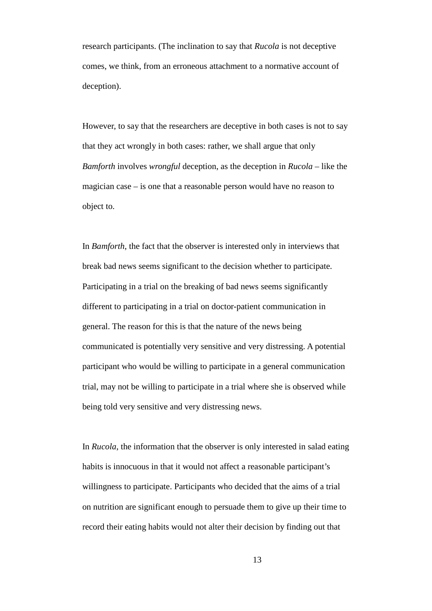research participants. (The inclination to say that *Rucola* is not deceptive comes, we think, from an erroneous attachment to a normative account of deception).

However, to say that the researchers are deceptive in both cases is not to say that they act wrongly in both cases: rather, we shall argue that only *Bamforth* involves *wrongful* deception, as the deception in *Rucola* – like the magician case – is one that a reasonable person would have no reason to object to.

In *Bamforth*, the fact that the observer is interested only in interviews that break bad news seems significant to the decision whether to participate. Participating in a trial on the breaking of bad news seems significantly different to participating in a trial on doctor-patient communication in general. The reason for this is that the nature of the news being communicated is potentially very sensitive and very distressing. A potential participant who would be willing to participate in a general communication trial, may not be willing to participate in a trial where she is observed while being told very sensitive and very distressing news.

In *Rucola*, the information that the observer is only interested in salad eating habits is innocuous in that it would not affect a reasonable participant's willingness to participate. Participants who decided that the aims of a trial on nutrition are significant enough to persuade them to give up their time to record their eating habits would not alter their decision by finding out that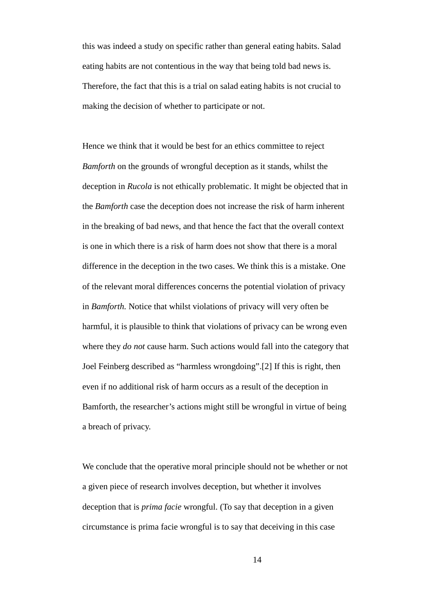this was indeed a study on specific rather than general eating habits. Salad eating habits are not contentious in the way that being told bad news is. Therefore, the fact that this is a trial on salad eating habits is not crucial to making the decision of whether to participate or not.

Hence we think that it would be best for an ethics committee to reject *Bamforth* on the grounds of wrongful deception as it stands, whilst the deception in *Rucola* is not ethically problematic. It might be objected that in the *Bamforth* case the deception does not increase the risk of harm inherent in the breaking of bad news, and that hence the fact that the overall context is one in which there is a risk of harm does not show that there is a moral difference in the deception in the two cases. We think this is a mistake. One of the relevant moral differences concerns the potential violation of privacy in *Bamforth.* Notice that whilst violations of privacy will very often be harmful, it is plausible to think that violations of privacy can be wrong even where they *do not* cause harm. Such actions would fall into the category that Joel Feinberg described as "harmless wrongdoing".[2] If this is right, then even if no additional risk of harm occurs as a result of the deception in Bamforth, the researcher's actions might still be wrongful in virtue of being a breach of privacy.

We conclude that the operative moral principle should not be whether or not a given piece of research involves deception, but whether it involves deception that is *prima facie* wrongful. (To say that deception in a given circumstance is prima facie wrongful is to say that deceiving in this case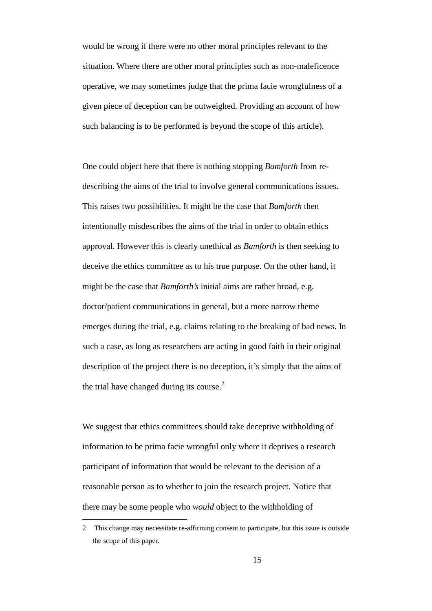would be wrong if there were no other moral principles relevant to the situation. Where there are other moral principles such as non-maleficence operative, we may sometimes judge that the prima facie wrongfulness of a given piece of deception can be outweighed. Providing an account of how such balancing is to be performed is beyond the scope of this article).

One could object here that there is nothing stopping *Bamforth* from redescribing the aims of the trial to involve general communications issues. This raises two possibilities. It might be the case that *Bamforth* then intentionally misdescribes the aims of the trial in order to obtain ethics approval. However this is clearly unethical as *Bamforth* is then seeking to deceive the ethics committee as to his true purpose. On the other hand, it might be the case that *Bamforth's* initial aims are rather broad, e.g. doctor/patient communications in general, but a more narrow theme emerges during the trial, e.g. claims relating to the breaking of bad news. In such a case, as long as researchers are acting in good faith in their original description of the project there is no deception, it's simply that the aims of the trial have changed during its course. $2^2$ 

We suggest that ethics committees should take deceptive withholding of information to be prima facie wrongful only where it deprives a research participant of information that would be relevant to the decision of a reasonable person as to whether to join the research project. Notice that there may be some people who *would* object to the withholding of

<sup>2</sup> This change may necessitate re-affirming consent to participate, but this issue is outside the scope of this paper.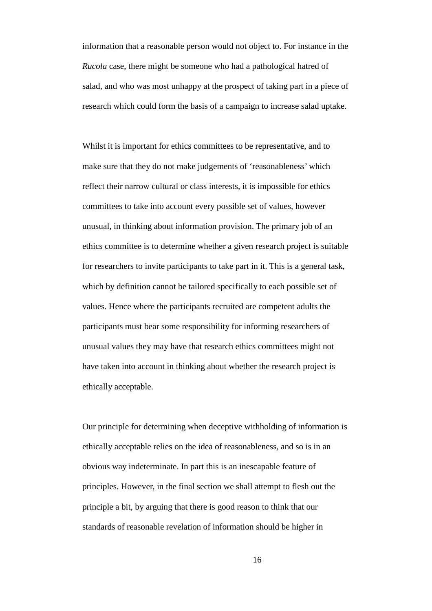information that a reasonable person would not object to. For instance in the *Rucola* case, there might be someone who had a pathological hatred of salad, and who was most unhappy at the prospect of taking part in a piece of research which could form the basis of a campaign to increase salad uptake.

Whilst it is important for ethics committees to be representative, and to make sure that they do not make judgements of 'reasonableness' which reflect their narrow cultural or class interests, it is impossible for ethics committees to take into account every possible set of values, however unusual, in thinking about information provision. The primary job of an ethics committee is to determine whether a given research project is suitable for researchers to invite participants to take part in it. This is a general task, which by definition cannot be tailored specifically to each possible set of values. Hence where the participants recruited are competent adults the participants must bear some responsibility for informing researchers of unusual values they may have that research ethics committees might not have taken into account in thinking about whether the research project is ethically acceptable.

Our principle for determining when deceptive withholding of information is ethically acceptable relies on the idea of reasonableness, and so is in an obvious way indeterminate. In part this is an inescapable feature of principles. However, in the final section we shall attempt to flesh out the principle a bit, by arguing that there is good reason to think that our standards of reasonable revelation of information should be higher in

16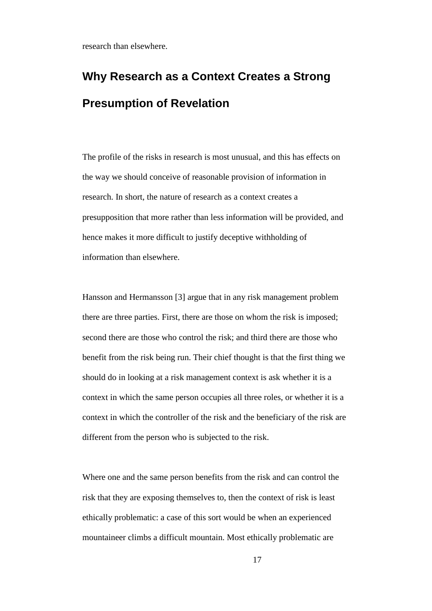research than elsewhere.

# **Why Research as a Context Creates a Strong Presumption of Revelation**

The profile of the risks in research is most unusual, and this has effects on the way we should conceive of reasonable provision of information in research. In short, the nature of research as a context creates a presupposition that more rather than less information will be provided, and hence makes it more difficult to justify deceptive withholding of information than elsewhere.

Hansson and Hermansson [3] argue that in any risk management problem there are three parties. First, there are those on whom the risk is imposed; second there are those who control the risk; and third there are those who benefit from the risk being run. Their chief thought is that the first thing we should do in looking at a risk management context is ask whether it is a context in which the same person occupies all three roles, or whether it is a context in which the controller of the risk and the beneficiary of the risk are different from the person who is subjected to the risk.

Where one and the same person benefits from the risk and can control the risk that they are exposing themselves to, then the context of risk is least ethically problematic: a case of this sort would be when an experienced mountaineer climbs a difficult mountain. Most ethically problematic are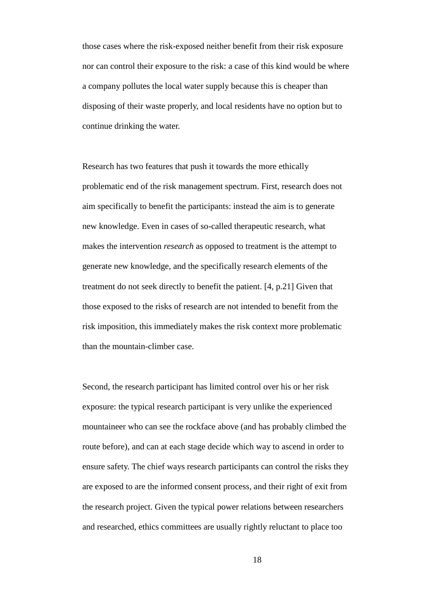those cases where the risk-exposed neither benefit from their risk exposure nor can control their exposure to the risk: a case of this kind would be where a company pollutes the local water supply because this is cheaper than disposing of their waste properly, and local residents have no option but to continue drinking the water.

Research has two features that push it towards the more ethically problematic end of the risk management spectrum. First, research does not aim specifically to benefit the participants: instead the aim is to generate new knowledge. Even in cases of so-called therapeutic research, what makes the intervention *research* as opposed to treatment is the attempt to generate new knowledge, and the specifically research elements of the treatment do not seek directly to benefit the patient. [4, p.21] Given that those exposed to the risks of research are not intended to benefit from the risk imposition, this immediately makes the risk context more problematic than the mountain-climber case.

Second, the research participant has limited control over his or her risk exposure: the typical research participant is very unlike the experienced mountaineer who can see the rockface above (and has probably climbed the route before), and can at each stage decide which way to ascend in order to ensure safety. The chief ways research participants can control the risks they are exposed to are the informed consent process, and their right of exit from the research project. Given the typical power relations between researchers and researched, ethics committees are usually rightly reluctant to place too

18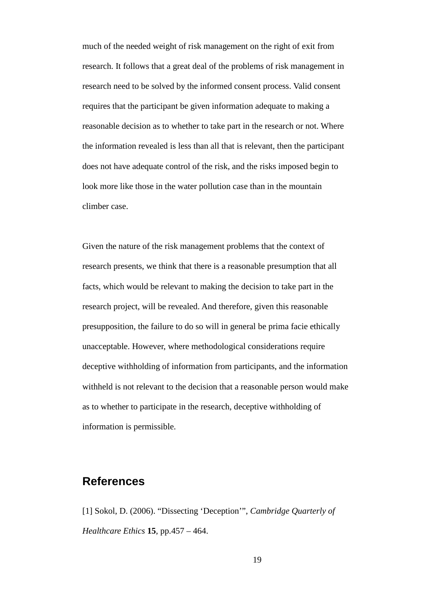much of the needed weight of risk management on the right of exit from research. It follows that a great deal of the problems of risk management in research need to be solved by the informed consent process. Valid consent requires that the participant be given information adequate to making a reasonable decision as to whether to take part in the research or not. Where the information revealed is less than all that is relevant, then the participant does not have adequate control of the risk, and the risks imposed begin to look more like those in the water pollution case than in the mountain climber case.

Given the nature of the risk management problems that the context of research presents, we think that there is a reasonable presumption that all facts, which would be relevant to making the decision to take part in the research project, will be revealed. And therefore, given this reasonable presupposition, the failure to do so will in general be prima facie ethically unacceptable. However, where methodological considerations require deceptive withholding of information from participants, and the information withheld is not relevant to the decision that a reasonable person would make as to whether to participate in the research, deceptive withholding of information is permissible.

#### **References**

[1] Sokol, D. (2006). "Dissecting 'Deception'", *Cambridge Quarterly of Healthcare Ethics* **15**, pp.457 – 464.